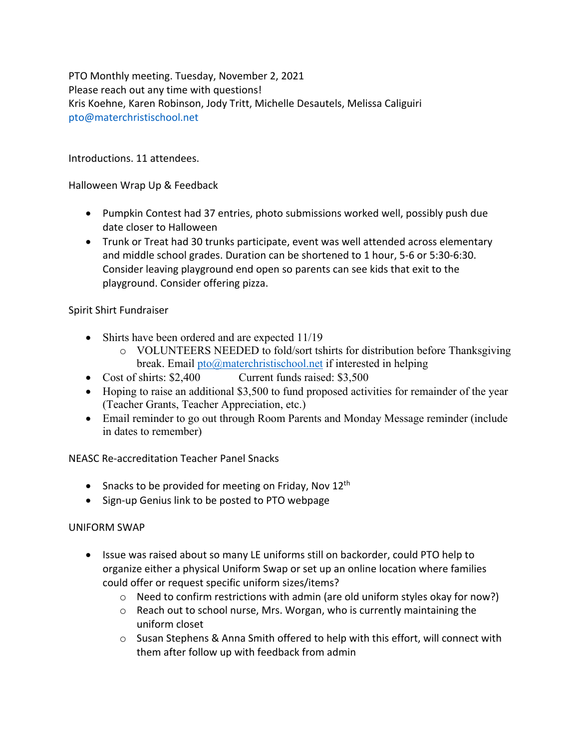PTO Monthly meeting. Tuesday, November 2, 2021 Please reach out any time with questions! Kris Koehne, Karen Robinson, Jody Tritt, Michelle Desautels, Melissa Caliguiri pto@materchristischool.net

Introductions. 11 attendees.

Halloween Wrap Up & Feedback

- Pumpkin Contest had 37 entries, photo submissions worked well, possibly push due date closer to Halloween
- Trunk or Treat had 30 trunks participate, event was well attended across elementary and middle school grades. Duration can be shortened to 1 hour, 5-6 or 5:30-6:30. Consider leaving playground end open so parents can see kids that exit to the playground. Consider offering pizza.

Spirit Shirt Fundraiser

- Shirts have been ordered and are expected 11/19
	- o VOLUNTEERS NEEDED to fold/sort tshirts for distribution before Thanksgiving break. Email  $pto(\partial)$  materchristischool.net if interested in helping
- Cost of shirts: \$2,400 Current funds raised: \$3,500
- Hoping to raise an additional \$3,500 to fund proposed activities for remainder of the year (Teacher Grants, Teacher Appreciation, etc.)
- Email reminder to go out through Room Parents and Monday Message reminder (include in dates to remember)

NEASC Re-accreditation Teacher Panel Snacks

- Snacks to be provided for meeting on Friday, Nov  $12<sup>th</sup>$
- Sign-up Genius link to be posted to PTO webpage

## UNIFORM SWAP

- Issue was raised about so many LE uniforms still on backorder, could PTO help to organize either a physical Uniform Swap or set up an online location where families could offer or request specific uniform sizes/items?
	- o Need to confirm restrictions with admin (are old uniform styles okay for now?)
	- $\circ$  Reach out to school nurse, Mrs. Worgan, who is currently maintaining the uniform closet
	- $\circ$  Susan Stephens & Anna Smith offered to help with this effort, will connect with them after follow up with feedback from admin